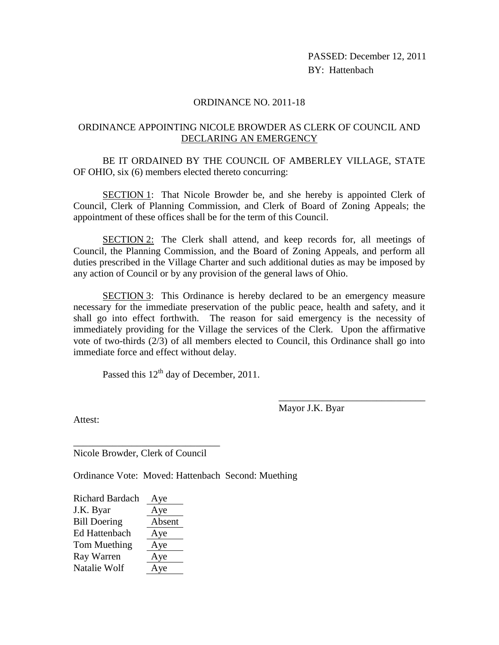PASSED: December 12, 2011 BY: Hattenbach

## ORDINANCE NO. 2011-18

## ORDINANCE APPOINTING NICOLE BROWDER AS CLERK OF COUNCIL AND DECLARING AN EMERGENCY

BE IT ORDAINED BY THE COUNCIL OF AMBERLEY VILLAGE, STATE OF OHIO, six (6) members elected thereto concurring:

SECTION 1: That Nicole Browder be, and she hereby is appointed Clerk of Council, Clerk of Planning Commission, and Clerk of Board of Zoning Appeals; the appointment of these offices shall be for the term of this Council.

SECTION 2: The Clerk shall attend, and keep records for, all meetings of Council, the Planning Commission, and the Board of Zoning Appeals, and perform all duties prescribed in the Village Charter and such additional duties as may be imposed by any action of Council or by any provision of the general laws of Ohio.

SECTION 3: This Ordinance is hereby declared to be an emergency measure necessary for the immediate preservation of the public peace, health and safety, and it shall go into effect forthwith. The reason for said emergency is the necessity of immediately providing for the Village the services of the Clerk. Upon the affirmative vote of two-thirds (2/3) of all members elected to Council, this Ordinance shall go into immediate force and effect without delay.

Passed this  $12<sup>th</sup>$  day of December, 2011.

Mayor J.K. Byar

\_\_\_\_\_\_\_\_\_\_\_\_\_\_\_\_\_\_\_\_\_\_\_\_\_\_\_\_\_\_

Attest:

\_\_\_\_\_\_\_\_\_\_\_\_\_\_\_\_\_\_\_\_\_\_\_\_\_\_\_\_\_\_ Nicole Browder, Clerk of Council

Ordinance Vote: Moved: Hattenbach Second: Muething

| <b>Richard Bardach</b> | Aye    |
|------------------------|--------|
| J.K. Byar              | Aye    |
| <b>Bill Doering</b>    | Absent |
| <b>Ed Hattenbach</b>   | Aye    |
| Tom Muething           | Aye    |
| Ray Warren             | Aye    |
| Natalie Wolf           | Aye    |
|                        |        |